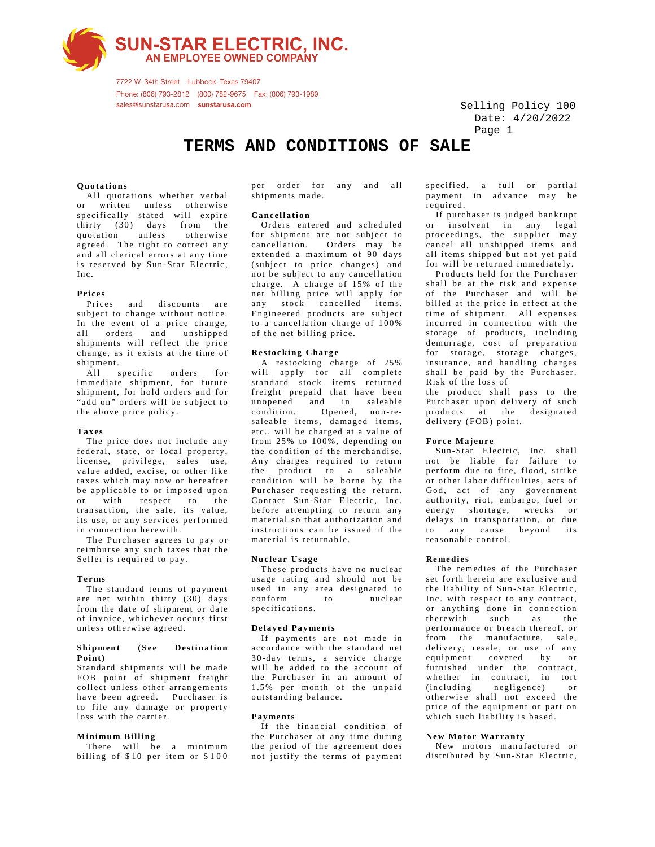**SUN-STAR ELECTRIC, INC.**<br>AN EMPLOYEE OWNED COMPANY

7722 W. 34th Street Lubbock, Texas 79407 Phone: (806) 793-2812 (800) 782-9675 Fax: (806) 793-1989 sales@sunstarusa.com sunstarusa.com

 Selling Policy 100 Page 1 Date: 4/20/2022

# **TERMS AND CONDITIONS OF SALE**

### **Quotations**

 All quotations whether verbal or written unless otherwise specifically stated will expire thirty (30) days from the quotation unless otherwise agreed. The right to correct any and all clerical errors at any time is reserved by Sun-Star Electric, Inc.

#### **Prices**

 Prices and discounts are subject to change without notice. In the event of a price change,<br>all orders and unshipped and unshipped shipments will reflect the price change, as it exists at the time of shipment.

All specific orders immediate shipment, for future shipment, for hold orders and for "add on" orders will be subject to the above price policy.

#### **Taxes**

 The price does not include any federal, state, or local property, license, privilege, sales use, value added, excise, or other like taxes which may now or hereafter be applicable to or imposed upon or with respect to the transaction, the sale, its value, its use, or any services performed in connection herewith.

 The Purchaser agrees to pay or reimburse any such taxes that the Seller is required to pay.

#### **Terms**

 The standard terms of payment are net within thirty  $(30)$  days from the date of shipment or date of invoice, whichever occurs first unless otherwise agreed.

#### **Shipment (See Destination Point)**

loss with the carrier. to file any damage or property have been agreed. Purchaser is collect unless other arrangements FOB point of shipment freight Standard shipments will be made

#### **Mini mum Billing**

billing of  $$10$  per item or  $$100$ There will be a minimum shipments made. per order for any and all

#### **Cancell a tion**

of the net billing price. to a cancellation charge of  $100\%$ Engineered products are subject any stock cancelled items. net billing price will apply for charge. A charge of 15% of the not be subject to any cancellation (subject to price changes) and extended a maximum of 90 days cancellation. Orders may be for shipment are not subject to Orders entered and scheduled

## **Restocking Charge**

will apply for all complete standard stock items returned freight prepaid that have been unopened and in saleable condition. Opened, non-resaleable items, damaged items, etc., will be charged at a value of from 25% to 100%, depending on the condition of the merchandise. Any charges required to return the product to a saleable condition will be borne by the Purchaser requesting the return. Contact Sun-Star Electric, Inc. before attempting to return any material so that authorization and instructions can be issued if the material is returnable. A restocking charge of 25%

#### **Nuclear Usage**

 These products have no nuclear usage rating and should not be used in any area designated to conform specifications.

#### **Delayed Payments**

 If payments are not made in accordance with the standard net 3 0 -day terms, a service charge will be added to the account of the Purchaser in an amount of 1.5% per month of the unpaid outstanding balance.

#### **Payments**

 If the financial condition of the Purchaser at any time during the period of the agreement does not justify the terms of payment

specified, a full or partial payment in advance may be required.

 If purchaser is judged bankrupt or insolvent in any legal proc eedings, the supplier may cancel all unshipped items and all items shipped but not yet paid for will be returned immediately.

 Products held for the Purchaser shall be at the risk and expense of the Purchaser and will be billed at the price in effect at the time of shipment. All expenses incurred in connection with the storage of products, including demurrage, cost of preparation for storage, storage charges, insurance, and handling charges shall be paid by the Purchaser. Risk of the loss of

the product shall pass to the Purchaser upon delivery of such products at the designated delivery (FOB) point.

#### **Force Majeure**

Sun-Star Electric, Inc. shall not be liable for failure to perform due to fire, flood, strike or other labor difficulties, acts of God, act of any government authority, riot, embargo, fuel or energy shortage, wrecks or delays in transportation, or due to any cause beyond its reasonable control.

#### **Remedies**

 The remedies of the Purchaser set forth herein are exclusive and the liability of Sun-Star Electric, Inc. with respect to any contract, or anything done in connection therewith such as the performance or breach thereof, or from the manufacture, sale, delivery, resale, or use of any equipment covered by or furnished under the contract, whether in contract, in tort<br>(including negligence) or negligence) or otherwise shall not exceed the price of the equipment or part on which such liability is based.

### **New Motor Warranty**

 New motors manufactured or distributed by Sun-Star Electric,